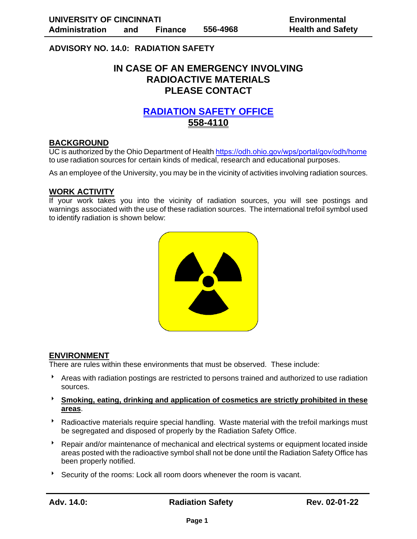**ADVISORY NO. 14.0: RADIATION SAFETY** 

## **IN CASE OF AN EMERGENCY INVOLVING RADIOACTIVE MATERIALS PLEASE CONTACT**

# **[RADIATION SAFETY OFFICE](https://research.uc.edu/support/offices/radsafety/) 558-4110**

#### **BACKGROUND**

UC is authorized by the Ohio Department of Health https://odh.ohio.gov/wps/[portal/gov/odh/home](https://odh.ohio.gov/wps/portal/gov/odh/home/) to use radiation sources for certain kinds of medical, research and educational purposes.

As an employee of the University, you may be in the vicinity of activities involving radiation sources.

#### **WORK ACTIVITY**

If your work takes you into the vicinity of radiation sources, you will see postings and warnings associated with the use of these radiation sources. The international trefoil symbol used to identify radiation is shown below:



### **ENVIRONMENT**

There are rules within these environments that must be observed. These include:

- \* Areas with radiation postings are restricted to persons trained and authorized to use radiation sources.
- 8 **Smoking, eating, drinking and application of cosmetics are strictly prohibited in these areas**.
- **BED AT Andragority Provid Finding.** Waste material with the trefoil markings must be segregated and disposed of properly by the Radiation Safety Office.
- **BED AT A Repair and/or maintenance of mechanical and electrical systems or equipment located inside** areas posted with the radioactive symbol shall not be done until the Radiation Safety Office has been properly notified.
- Security of the rooms: Lock all room doors whenever the room is vacant.